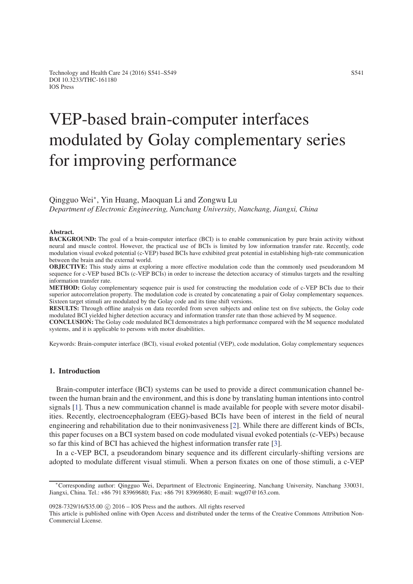# VEP-based brain-computer interfaces modulated by Golay complementary series for improving performance

# Qingguo Wei∗, Yin Huang, Maoquan Li and Zongwu Lu

*Department of Electronic Engineering, Nanchang University, Nanchang, Jiangxi, China*

#### Abstract.

BACKGROUND: The goal of a brain-computer interface (BCI) is to enable communication by pure brain activity without neural and muscle control. However, the practical use of BCIs is limited by low information transfer rate. Recently, code modulation visual evoked potential (c-VEP) based BCIs have exhibited great potential in establishing high-rate communication between the brain and the external world.

OBJECTIVE: This study aims at exploring a more effective modulation code than the commonly used pseudorandom M sequence for c-VEP based BCIs (c-VEP BCIs) in order to increase the detection accuracy of stimulus targets and the resulting information transfer rate.

METHOD: Golay complementary sequence pair is used for constructing the modulation code of c-VEP BCIs due to their superior autocorrelation property. The modulation code is created by concatenating a pair of Golay complementary sequences. Sixteen target stimuli are modulated by the Golay code and its time shift versions.

RESULTS: Through offline analysis on data recorded from seven subjects and online test on five subjects, the Golay code modulated BCI yielded higher detection accuracy and information transfer rate than those achieved by M sequence.

CONCLUSION: The Golay code modulated BCI demonstrates a high performance compared with the M sequence modulated systems, and it is applicable to persons with motor disabilities.

Keywords: Brain-computer interface (BCI), visual evoked potential (VEP), code modulation, Golay complementary sequences

# 1. Introduction

Brain-computer interface (BCI) systems can be used to provide a direct communication channel between the human brain and the environment, and this is done by translating human intentions into control signals [\[1\]](#page-8-0). Thus a new communication channel is made available for people with severe motor disabilities. Recently, electroencephalogram (EEG)-based BCIs have been of interest in the field of neural engineering and rehabilitation due to their noninvasiveness [\[2\]](#page-8-1). While there are different kinds of BCIs, this paper focuses on a BCI system based on code modulated visual evoked potentials (c-VEPs) because so far this kind of BCI has achieved the highest information transfer rate [\[3\]](#page-8-2).

In a c-VEP BCI, a pseudorandom binary sequence and its different circularly-shifting versions are adopted to modulate different visual stimuli. When a person fixates on one of those stimuli, a c-VEP

 $0928-7329/16/$ \$35.00  $\odot$  2016 – IOS Press and the authors. All rights reserved

This article is published online with Open Access and distributed under the terms of the Creative Commons Attribution Non-Commercial License.

<sup>∗</sup>Corresponding author: Qingguo Wei, Department of Electronic Engineering, Nanchang University, Nanchang 330031, Jiangxi, China. Tel.: +86 791 83969680; Fax: +86 791 83969680; E-mail: wqg07@163.com.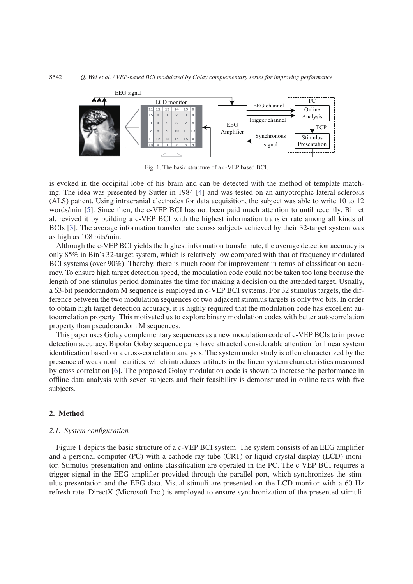

Fig. 1. The basic structure of a c-VEP based BCI.

is evoked in the occipital lobe of his brain and can be detected with the method of template matching. The idea was presented by Sutter in 1984 [\[4\]](#page-8-3) and was tested on an amyotrophic lateral sclerosis (ALS) patient. Using intracranial electrodes for data acquisition, the subject was able to write 10 to 12 words/min [\[5\]](#page-8-4). Since then, the c-VEP BCI has not been paid much attention to until recently. Bin et al. revived it by building a c-VEP BCI with the highest information transfer rate among all kinds of BCIs [\[3\]](#page-8-2). The average information transfer rate across subjects achieved by their 32-target system was as high as 108 bits/min.

Although the c-VEP BCI yields the highest information transfer rate, the average detection accuracy is only 85% in Bin's 32-target system, which is relatively low compared with that of frequency modulated BCI systems (over 90%). Thereby, there is much room for improvement in terms of classification accuracy. To ensure high target detection speed, the modulation code could not be taken too long because the length of one stimulus period dominates the time for making a decision on the attended target. Usually, a 63-bit pseudorandom M sequence is employed in c-VEP BCI systems. For 32 stimulus targets, the difference between the two modulation sequences of two adjacent stimulus targets is only two bits. In order to obtain high target detection accuracy, it is highly required that the modulation code has excellent autocorrelation property. This motivated us to explore binary modulation codes with better autocorrelation property than pseudorandom M sequences.

This paper uses Golay complementary sequences as a new modulation code of c-VEP BCIs to improve detection accuracy. Bipolar Golay sequence pairs have attracted considerable attention for linear system identification based on a cross-correlation analysis. The system under study is often characterized by the presence of weak nonlinearities, which introduces artifacts in the linear system characteristics measured by cross correlation [\[6\]](#page-8-5). The proposed Golay modulation code is shown to increase the performance in offline data analysis with seven subjects and their feasibility is demonstrated in online tests with five subjects.

# 2. Method

# *2.1. System configuration*

Figure 1 depicts the basic structure of a c-VEP BCI system. The system consists of an EEG amplifier and a personal computer (PC) with a cathode ray tube (CRT) or liquid crystal display (LCD) monitor. Stimulus presentation and online classification are operated in the PC. The c-VEP BCI requires a trigger signal in the EEG amplifier provided through the parallel port, which synchronizes the stimulus presentation and the EEG data. Visual stimuli are presented on the LCD monitor with a 60 Hz refresh rate. DirectX (Microsoft Inc.) is employed to ensure synchronization of the presented stimuli.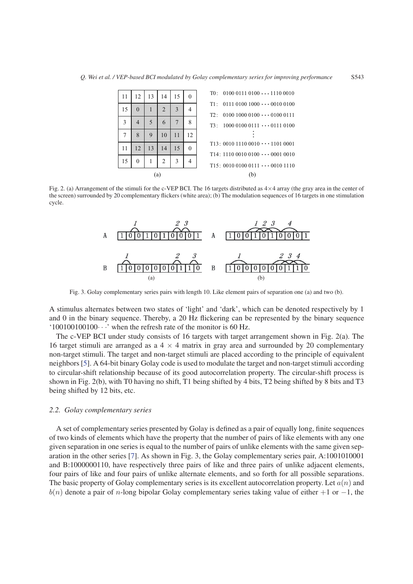| 13<br>12<br>14<br>15<br>0<br>11                |                                    |    |    |    |          |  |
|------------------------------------------------|------------------------------------|----|----|----|----------|--|
| 15<br>$\mathcal{E}$<br>$\theta$<br>2<br>1<br>4 |                                    |    |    |    |          |  |
| 3                                              | 8<br>5<br>$\overline{4}$<br>7<br>6 |    |    |    |          |  |
| $\mathbf{8}$<br>12<br>9<br>10<br>11            |                                    |    |    |    |          |  |
| 11                                             | 12                                 | 13 | 14 | 15 | $\Omega$ |  |
| 15                                             | $\theta$                           | 1  | 2  | 3  | 4        |  |
|                                                | (a)                                |    |    |    |          |  |

Fig. 2. (a) Arrangement of the stimuli for the c-VEP BCI. The 16 targets distributed as  $4\times4$  array (the gray area in the center of the screen) surrounded by 20 complementary flickers (white area); (b) The modulation sequences of 16 targets in one stimulation cycle.



Fig. 3. Golay complementary series pairs with length 10. Like element pairs of separation one (a) and two (b).

A stimulus alternates between two states of 'light' and 'dark', which can be denoted respectively by 1 and 0 in the binary sequence. Thereby, a 20 Hz flickering can be represented by the binary sequence '100100100100 $\cdots$ ' when the refresh rate of the monitor is 60 Hz.

The c-VEP BCI under study consists of 16 targets with target arrangement shown in Fig. 2(a). The 16 target stimuli are arranged as a  $4 \times 4$  matrix in gray area and surrounded by 20 complementary non-target stimuli. The target and non-target stimuli are placed according to the principle of equivalent neighbors [\[5\]](#page-8-4). A 64-bit binary Golay code is used to modulate the target and non-target stimuli according to circular-shift relationship because of its good autocorrelation property. The circular-shift process is shown in Fig. 2(b), with T0 having no shift, T1 being shifted by 4 bits, T2 being shifted by 8 bits and T3 being shifted by 12 bits, etc.

## *2.2. Golay complementary series*

A set of complementary series presented by Golay is defined as a pair of equally long, finite sequences of two kinds of elements which have the property that the number of pairs of like elements with any one given separation in one series is equal to the number of pairs of unlike elements with the same given separation in the other series [\[7\]](#page-8-6). As shown in Fig. 3, the Golay complementary series pair, A:1001010001 and B:1000000110, have respectively three pairs of like and three pairs of unlike adjacent elements, four pairs of like and four pairs of unlike alternate elements, and so forth for all possible separations. The basic property of Golay complementary series is its excellent autocorrelation property. Let  $a(n)$  and  $b(n)$  denote a pair of n-long bipolar Golay complementary series taking value of either +1 or −1, the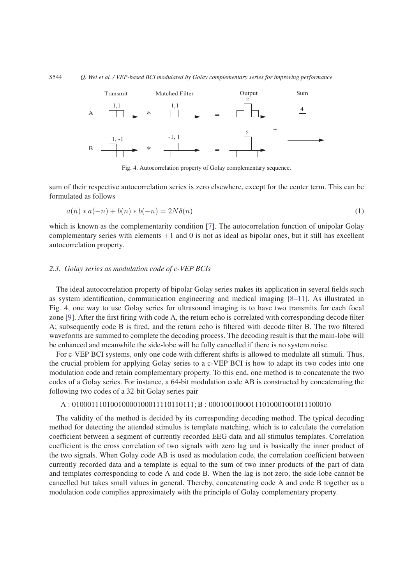

Fig. 4. Autocorrelation property of Golay complementary sequence.

sum of their respective autocorrelation series is zero elsewhere, except for the center term. This can be formulated as follows

$$
a(n) * a(-n) + b(n) * b(-n) = 2N\delta(n)
$$
\n(1)

which is known as the complementarity condition [\[7\]](#page-8-6). The autocorrelation function of unipolar Golay complementary series with elements  $+1$  and 0 is not as ideal as bipolar ones, but it still has excellent autocorrelation property.

# *2.3. Golay series as modulation code of c-VEP BCIs*

The ideal autocorrelation property of bipolar Golay series makes its application in several fields such as system identification, communication engineering and medical imaging  $[8-11]$  $[8-11]$ . As illustrated in Fig. 4, one way to use Golay series for ultrasound imaging is to have two transmits for each focal zone [\[9\]](#page-8-9). After the first firing with code A, the return echo is correlated with corresponding decode filter A; subsequently code B is fired, and the return echo is filtered with decode filter B. The two filtered waveforms are summed to complete the decoding process. The decoding result is that the main-lobe will be enhanced and meanwhile the side-lobe will be fully cancelled if there is no system noise.

For c-VEP BCI systems, only one code with different shifts is allowed to modulate all stimuli. Thus, the crucial problem for applying Golay series to a c-VEP BCI is how to adapt its two codes into one modulation code and retain complementary property. To this end, one method is to concatenate the two codes of a Golay series. For instance, a 64-bit modulation code AB is constructed by concatenating the following two codes of a 32-bit Golay series pair

# A : 01000111010010000100011110110111; B : 00010010000111010001001011100010

The validity of the method is decided by its corresponding decoding method. The typical decoding method for detecting the attended stimulus is template matching, which is to calculate the correlation coefficient between a segment of currently recorded EEG data and all stimulus templates. Correlation coefficient is the cross correlation of two signals with zero lag and is basically the inner product of the two signals. When Golay code AB is used as modulation code, the correlation coefficient between currently recorded data and a template is equal to the sum of two inner products of the part of data and templates corresponding to code A and code B. When the lag is not zero, the side-lobe cannot be cancelled but takes small values in general. Thereby, concatenating code A and code B together as a modulation code complies approximately with the principle of Golay complementary property.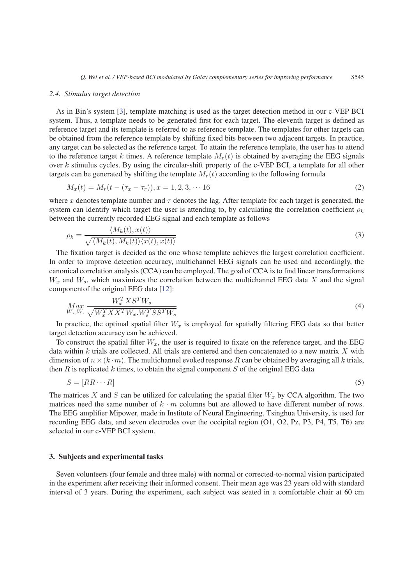#### *2.4. Stimulus target detection*

As in Bin's system [\[3\]](#page-8-2), template matching is used as the target detection method in our c-VEP BCI system. Thus, a template needs to be generated first for each target. The eleventh target is defined as reference target and its template is referred to as reference template. The templates for other targets can be obtained from the reference template by shifting fixed bits between two adjacent targets. In practice, any target can be selected as the reference target. To attain the reference template, the user has to attend to the reference target k times. A reference template  $M_r(t)$  is obtained by averaging the EEG signals over k stimulus cycles. By using the circular-shift property of the c-VEP BCI, a template for all other targets can be generated by shifting the template  $M_r(t)$  according to the following formula

$$
M_x(t) = M_r(t - (\tau_x - \tau_r)), x = 1, 2, 3, \dots 16
$$
\n(2)

where x denotes template number and  $\tau$  denotes the lag. After template for each target is generated, the system can identify which target the user is attending to, by calculating the correlation coefficient  $\rho_k$ between the currently recorded EEG signal and each template as follows

$$
\rho_k = \frac{\langle M_k(t), x(t) \rangle}{\sqrt{\langle M_k(t), M_k(t) \rangle \langle x(t), x(t) \rangle}}
$$
\n(3)

The fixation target is decided as the one whose template achieves the largest correlation coefficient. In order to improve detection accuracy, multichannel EEG signals can be used and accordingly, the canonical correlation analysis (CCA) can be employed. The goal of CCA is to find linear transformations  $W_x$  and  $W_s$ , which maximizes the correlation between the multichannel EEG data X and the signal componentof the original EEG data [\[12\]](#page-8-10):

$$
\underset{W_x, W_s}{Max} \frac{W_x^T X S^T W_s}{\sqrt{W_x^T X X^T W_x W_s^T S S^T W_s}}
$$
\n
$$
\tag{4}
$$

In practice, the optimal spatial filter  $W_x$  is employed for spatially filtering EEG data so that better target detection accuracy can be achieved.

To construct the spatial filter  $W_x$ , the user is required to fixate on the reference target, and the EEG data within  $k$  trials are collected. All trials are centered and then concatenated to a new matrix  $X$  with dimension of  $n \times (k \cdot m)$ . The multichannel evoked response R can be obtained by averaging all k trials, then  $R$  is replicated  $k$  times, to obtain the signal component  $S$  of the original EEG data

$$
S = [RR \cdots R] \tag{5}
$$

The matrices X and S can be utilized for calculating the spatial filter  $W_x$  by CCA algorithm. The two matrices need the same number of  $k \cdot m$  columns but are allowed to have different number of rows. The EEG amplifier Mipower, made in Institute of Neural Engineering, Tsinghua University, is used for recording EEG data, and seven electrodes over the occipital region (O1, O2, Pz, P3, P4, T5, T6) are selected in our c-VEP BCI system.

### 3. Subjects and experimental tasks

Seven volunteers (four female and three male) with normal or corrected-to-normal vision participated in the experiment after receiving their informed consent. Their mean age was 23 years old with standard interval of 3 years. During the experiment, each subject was seated in a comfortable chair at 60 cm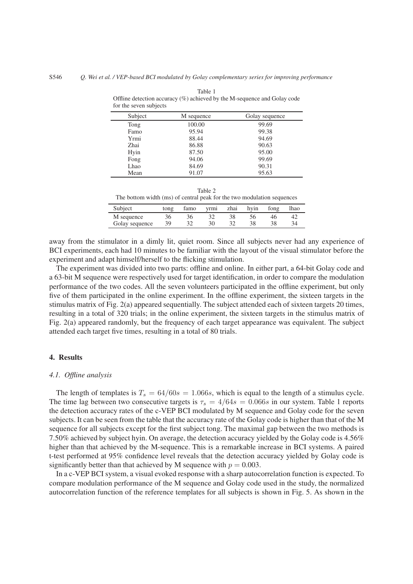| Subject | M sequence | Golay sequence |
|---------|------------|----------------|
| Tong    | 100.00     | 99.69          |
| Famo    | 95.94      | 99.38          |
| Yrmi    | 88.44      | 94.69          |
| Zhai    | 86.88      | 90.63          |
| Hyin    | 87.50      | 95.00          |
| Fong    | 94.06      | 99.69          |
| Lhao    | 84.69      | 90.31          |
| Mean    | 91.07      | 95.63          |
|         |            |                |

Table 1 Offline detection accuracy (%) achieved by the M-sequence and Golay code for the seven subjects

| Table 2                                                     |
|-------------------------------------------------------------|
| The hottom width (me) of control needs for the two modulati |

|  |  | The bottom width (ms) of central peak for the two modulation sequences |
|--|--|------------------------------------------------------------------------|
|--|--|------------------------------------------------------------------------|

| M sequence<br>39<br>Golay sequence<br>ے ر | Subject | moe | tamo | vrmi | zhai | hvin | fong | .hao |
|-------------------------------------------|---------|-----|------|------|------|------|------|------|
|                                           |         |     |      |      |      |      |      |      |
|                                           |         |     |      |      |      |      |      |      |

away from the stimulator in a dimly lit, quiet room. Since all subjects never had any experience of BCI experiments, each had 10 minutes to be familiar with the layout of the visual stimulator before the experiment and adapt himself/herself to the flicking stimulation.

The experiment was divided into two parts: offline and online. In either part, a 64-bit Golay code and a 63-bit M sequence were respectively used for target identification, in order to compare the modulation performance of the two codes. All the seven volunteers participated in the offline experiment, but only five of them participated in the online experiment. In the offline experiment, the sixteen targets in the stimulus matrix of Fig. 2(a) appeared sequentially. The subject attended each of sixteen targets 20 times, resulting in a total of 320 trials; in the online experiment, the sixteen targets in the stimulus matrix of Fig. 2(a) appeared randomly, but the frequency of each target appearance was equivalent. The subject attended each target five times, resulting in a total of 80 trials.

# 4. Results

# *4.1. Offline analysis*

The length of templates is  $T_s = 64/60s = 1.066s$ , which is equal to the length of a stimulus cycle. The time lag between two consecutive targets is  $\tau_s = 4/64s = 0.066s$  in our system. Table 1 reports the detection accuracy rates of the c-VEP BCI modulated by M sequence and Golay code for the seven subjects. It can be seen from the table that the accuracy rate of the Golay code is higher than that of the M sequence for all subjects except for the first subject tong. The maximal gap between the two methods is 7.50% achieved by subject hyin. On average, the detection accuracy yielded by the Golay code is 4.56% higher than that achieved by the M-sequence. This is a remarkable increase in BCI systems. A paired t-test performed at 95% confidence level reveals that the detection accuracy yielded by Golay code is significantly better than that achieved by M sequence with  $p = 0.003$ .

In a c-VEP BCI system, a visual evoked response with a sharp autocorrelation function is expected. To compare modulation performance of the M sequence and Golay code used in the study, the normalized autocorrelation function of the reference templates for all subjects is shown in Fig. 5. As shown in the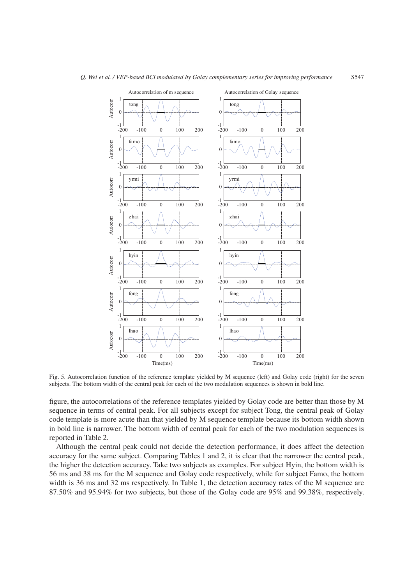

Fig. 5. Autocorrelation function of the reference template yielded by M sequence (left) and Golay code (right) for the seven subjects. The bottom width of the central peak for each of the two modulation sequences is shown in bold line.

figure, the autocorrelations of the reference templates yielded by Golay code are better than those by M sequence in terms of central peak. For all subjects except for subject Tong, the central peak of Golay code template is more acute than that yielded by M sequence template because its bottom width shown in bold line is narrower. The bottom width of central peak for each of the two modulation sequences is reported in Table 2.

Although the central peak could not decide the detection performance, it does affect the detection accuracy for the same subject. Comparing Tables 1 and 2, it is clear that the narrower the central peak, the higher the detection accuracy. Take two subjects as examples. For subject Hyin, the bottom width is 56 ms and 38 ms for the M sequence and Golay code respectively, while for subject Famo, the bottom width is 36 ms and 32 ms respectively. In Table 1, the detection accuracy rates of the M sequence are 87.50% and 95.94% for two subjects, but those of the Golay code are 95% and 99.38%, respectively.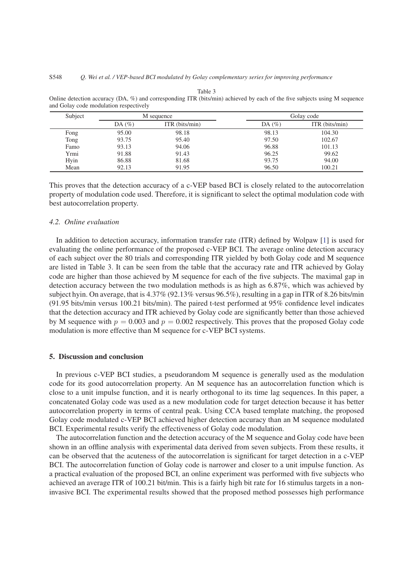| Subject |            | M sequence     | Golay code |                |  |
|---------|------------|----------------|------------|----------------|--|
|         | DA $(\% )$ | ITR (bits/min) | DA $(\%)$  | ITR (bits/min) |  |
| Fong    | 95.00      | 98.18          | 98.13      | 104.30         |  |
| Tong    | 93.75      | 95.40          | 97.50      | 102.67         |  |
| Famo    | 93.13      | 94.06          | 96.88      | 101.13         |  |
| Yrmi    | 91.88      | 91.43          | 96.25      | 99.62          |  |
| Hyin    | 86.88      | 81.68          | 93.75      | 94.00          |  |
| Mean    | 92.13      | 91.95          | 96.50      | 100.21         |  |

Table 3 Online detection accuracy (DA, %) and corresponding ITR (bits/min) achieved by each of the five subjects using M sequence and Golay code modulation respectively

This proves that the detection accuracy of a c-VEP based BCI is closely related to the autocorrelation property of modulation code used. Therefore, it is significant to select the optimal modulation code with best autocorrelation property.

## *4.2. Online evaluation*

In addition to detection accuracy, information transfer rate (ITR) defined by Wolpaw [\[1\]](#page-8-0) is used for evaluating the online performance of the proposed c-VEP BCI. The average online detection accuracy of each subject over the 80 trials and corresponding ITR yielded by both Golay code and M sequence are listed in Table 3. It can be seen from the table that the accuracy rate and ITR achieved by Golay code are higher than those achieved by M sequence for each of the five subjects. The maximal gap in detection accuracy between the two modulation methods is as high as 6.87%, which was achieved by subject hyin. On average, that is 4.37% (92.13% versus 96.5%), resulting in a gap in ITR of 8.26 bits/min (91.95 bits/min versus 100.21 bits/min). The paired t-test performed at 95% confidence level indicates that the detection accuracy and ITR achieved by Golay code are significantly better than those achieved by M sequence with  $p = 0.003$  and  $p = 0.002$  respectively. This proves that the proposed Golay code modulation is more effective than M sequence for c-VEP BCI systems.

# 5. Discussion and conclusion

In previous c-VEP BCI studies, a pseudorandom M sequence is generally used as the modulation code for its good autocorrelation property. An M sequence has an autocorrelation function which is close to a unit impulse function, and it is nearly orthogonal to its time lag sequences. In this paper, a concatenated Golay code was used as a new modulation code for target detection because it has better autocorrelation property in terms of central peak. Using CCA based template matching, the proposed Golay code modulated c-VEP BCI achieved higher detection accuracy than an M sequence modulated BCI. Experimental results verify the effectiveness of Golay code modulation.

The autocorrelation function and the detection accuracy of the M sequence and Golay code have been shown in an offline analysis with experimental data derived from seven subjects. From these results, it can be observed that the acuteness of the autocorrelation is significant for target detection in a c-VEP BCI. The autocorrelation function of Golay code is narrower and closer to a unit impulse function. As a practical evaluation of the proposed BCI, an online experiment was performed with five subjects who achieved an average ITR of 100.21 bit/min. This is a fairly high bit rate for 16 stimulus targets in a noninvasive BCI. The experimental results showed that the proposed method possesses high performance